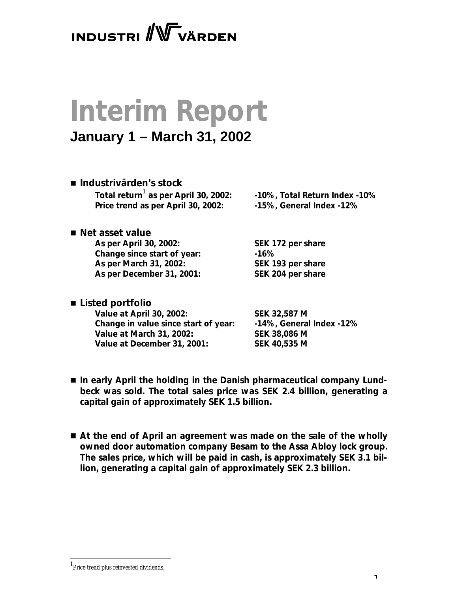## **INDUSTRI** WVÄRDEN

# **Interim Report**

## **January 1 – March 31, 2002**

n *Industrivärden's stock* Total return<sup>1</sup> as per April 30, 2002: **Price trend as per April 30, 2002: -15%, General Index -12%**

 **as per April 30, 2002: -10%, Total Return Index -10%**

■ *Net asset value* **As per April 30, 2002: SEK 172 per share Change since start of year: -16% As per March 31, 2002: SEK 193 per share As per December 31, 2001: SEK 204 per share**

■ *Listed portfolio* 

**Value at April 30, 2002: SEK 32,587 M Change in value since start of year: -14%, General Index -12% Value at March 31, 2002: SEK 38,086 M Value at December 31, 2001: SEK 40,535 M**

- In early April the holding in the Danish pharmaceutical company Lund*beck was sold. The total sales price was SEK 2.4 billion, generating a capital gain of approximately SEK 1.5 billion.*
- At the end of April an agreement was made on the sale of the wholly *owned door automation company Besam to the Assa Abloy lock group. The sales price, which will be paid in cash, is approximately SEK 3.1 billion, generating a capital gain of approximately SEK 2.3 billion.*

<sup>&</sup>lt;sup>1</sup>Price trend plus reinvested dividends.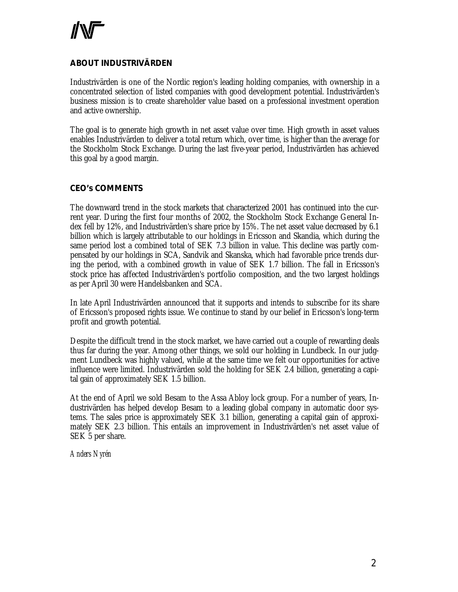#### **ABOUT INDUSTRIVÄRDEN**

Industrivärden is one of the Nordic region's leading holding companies, with ownership in a concentrated selection of listed companies with good development potential. Industrivärden's business mission is to create shareholder value based on a professional investment operation and active ownership.

The goal is to generate high growth in net asset value over time. High growth in asset values enables Industrivärden to deliver a total return which, over time, is higher than the average for the Stockholm Stock Exchange. During the last five-year period, Industrivärden has achieved this goal by a good margin.

#### **CEO's COMMENTS**

The downward trend in the stock markets that characterized 2001 has continued into the current year. During the first four months of 2002, the Stockholm Stock Exchange General Index fell by 12%, and Industrivärden's share price by 15%. The net asset value decreased by 6.1 billion which is largely attributable to our holdings in Ericsson and Skandia, which during the same period lost a combined total of SEK 7.3 billion in value. This decline was partly compensated by our holdings in SCA, Sandvik and Skanska, which had favorable price trends during the period, with a combined growth in value of SEK 1.7 billion. The fall in Ericsson's stock price has affected Industrivärden's portfolio composition, and the two largest holdings as per April 30 were Handelsbanken and SCA.

In late April Industrivärden announced that it supports and intends to subscribe for its share of Ericsson's proposed rights issue. We continue to stand by our belief in Ericsson's long-term profit and growth potential.

Despite the difficult trend in the stock market, we have carried out a couple of rewarding deals thus far during the year. Among other things, we sold our holding in Lundbeck. In our judgment Lundbeck was highly valued, while at the same time we felt our opportunities for active influence were limited. Industrivärden sold the holding for SEK 2.4 billion, generating a capital gain of approximately SEK 1.5 billion.

At the end of April we sold Besam to the Assa Abloy lock group. For a number of years, Industrivärden has helped develop Besam to a leading global company in automatic door systems. The sales price is approximately SEK 3.1 billion, generating a capital gain of approximately SEK 2.3 billion. This entails an improvement in Industrivärden's net asset value of SEK 5 per share.

*Anders Nyrén*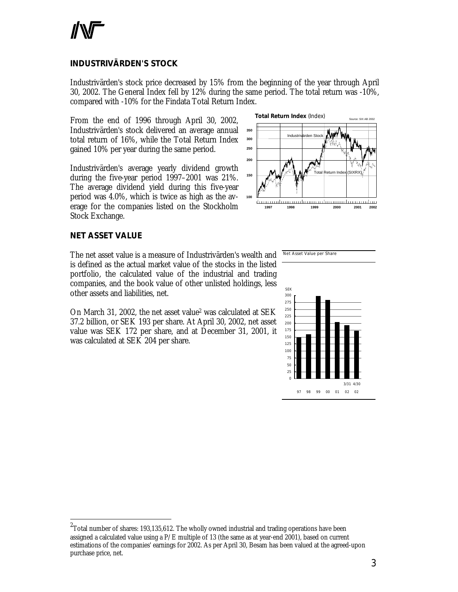#### **INDUSTRIVÄRDEN'S STOCK**

Industrivärden's stock price decreased by 15% from the beginning of the year through April 30, 2002. The General Index fell by 12% during the same period. The total return was -10%, compared with -10% for the Findata Total Return Index.

From the end of 1996 through April 30, 2002, Industrivärden's stock delivered an average annual total return of 16%, while the Total Return Index gained 10% per year during the same period.

Industrivärden's average yearly dividend growth during the five-year period 1997–2001 was 21%. The average dividend yield during this five-year period was 4.0%, which is twice as high as the average for the companies listed on the Stockholm Stock Exchange.



Net Asset Value per Share

#### **NET ASSET VALUE**

l

The net asset value is a measure of Industrivärden's wealth and is defined as the actual market value of the stocks in the listed portfolio, the calculated value of the industrial and trading companies, and the book value of other unlisted holdings, less other assets and liabilities, net.

On March 31, 2002, the net asset value<sup>2</sup> was calculated at SEK 37.2 billion, or SEK 193 per share. At April 30, 2002, net asset value was SEK 172 per share, and at December 31, 2001, it was calculated at SEK 204 per share.



 $^2$ Total number of shares: 193,135,612. The wholly owned industrial and trading operations have been assigned a calculated value using a  $P/E$  multiple of 13 (the same as at year-end 2001), based on current estimations of the companies' earnings for 2002. As per April 30, Besam has been valued at the agreed-upon purchase price, net.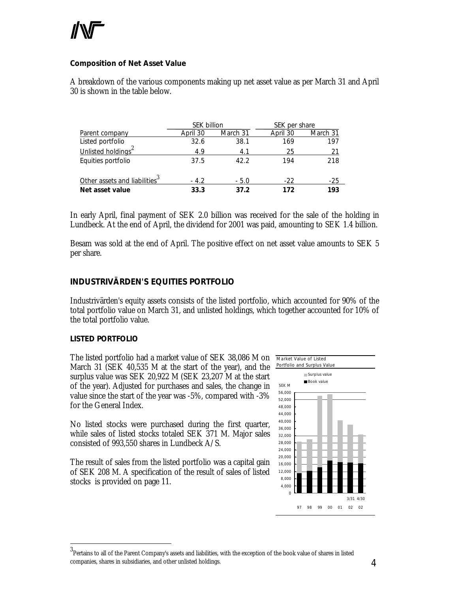#### **Composition of Net Asset Value**

A breakdown of the various components making up net asset value as per March 31 and April 30 is shown in the table below.

|                                           | <b>SEK billion</b> |          | SEK per share |          |
|-------------------------------------------|--------------------|----------|---------------|----------|
| Parent company                            | April 30           | March 31 | April 30      | March 31 |
| Listed portfolio                          | 32.6               | 38.1     | 169           | 197      |
| Unlisted holdings <sup>2</sup>            | 4.9                | 4.1      | 25            | 21       |
| Equities portfolio                        | 37.5               | 42.2     | 194           | 218      |
| Other assets and liabilities <sup>3</sup> | $-4.2$             | $-5.0$   | $-22$         | $-25$    |
| Net asset value                           | 33.3               | 37.2     | 172           | 193      |

In early April, final payment of SEK 2.0 billion was received for the sale of the holding in Lundbeck. At the end of April, the dividend for 2001 was paid, amounting to SEK 1.4 billion.

Besam was sold at the end of April. The positive effect on net asset value amounts to SEK 5 per share.

#### **INDUSTRIVÄRDEN'S EQUITIES PORTFOLIO**

Industrivärden's equity assets consists of the listed portfolio, which accounted for 90% of the total portfolio value on March 31, and unlisted holdings, which together accounted for 10% of the total portfolio value.

#### *LISTED PORTFOLIO*

l

The listed portfolio had a market value of SEK 38,086 M on March 31 (SEK 40,535 M at the start of the year), and the surplus value was SEK 20,922 M (SEK 23,207 M at the start of the year). Adjusted for purchases and sales, the change in value since the start of the year was -5%, compared with -3% for the General Index.

No listed stocks were purchased during the first quarter, while sales of listed stocks totaled SEK 371 M. Major sales consisted of 993,550 shares in Lundbeck A/S.

The result of sales from the listed portfolio was a capital gain of SEK 208 M. A specification of the result of sales of listed stocks is provided on page 11.



 $^3$ Pertains to all of the Parent Company's assets and liabilities, with the exception of the book value of shares in listed companies, shares in subsidiaries, and other unlisted holdings.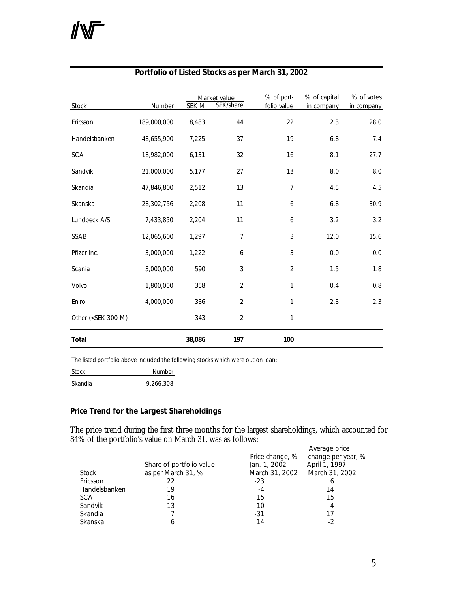| <b>Stock</b>                                                                                                               | Number      | <b>SEK M</b> | Market value<br>SEK/share | % of port-<br>folio value | % of capital<br>in company | % of votes<br>in company |
|----------------------------------------------------------------------------------------------------------------------------|-------------|--------------|---------------------------|---------------------------|----------------------------|--------------------------|
| Ericsson                                                                                                                   | 189,000,000 | 8,483        | 44                        | 22                        | 2.3                        | 28.0                     |
| Handelsbanken                                                                                                              | 48,655,900  | 7,225        | 37                        | 19                        | 6.8                        | 7.4                      |
| <b>SCA</b>                                                                                                                 | 18,982,000  | 6,131        | 32                        | 16                        | 8.1                        | 27.7                     |
| Sandvik                                                                                                                    | 21,000,000  | 5,177        | 27                        | 13                        | 8.0                        | 8.0                      |
| Skandia                                                                                                                    | 47,846,800  | 2,512        | 13                        | $\overline{7}$            | 4.5                        | 4.5                      |
| Skanska                                                                                                                    | 28,302,756  | 2,208        | 11                        | 6                         | 6.8                        | 30.9                     |
| Lundbeck A/S                                                                                                               | 7,433,850   | 2,204        | 11                        | 6                         | 3.2                        | 3.2                      |
| SSAB                                                                                                                       | 12,065,600  | 1,297        | $\overline{7}$            | 3                         | 12.0                       | 15.6                     |
| Pfizer Inc.                                                                                                                | 3,000,000   | 1,222        | 6                         | 3                         | 0.0                        | 0.0                      |
| Scania                                                                                                                     | 3,000,000   | 590          | 3                         | $\overline{2}$            | 1.5                        | 1.8                      |
| Volvo                                                                                                                      | 1,800,000   | 358          | $\overline{2}$            | 1                         | 0.4                        | 0.8                      |
| Eniro                                                                                                                      | 4,000,000   | 336          | $\overline{2}$            | 1                         | 2.3                        | 2.3                      |
| Other ( <sek 300="" m)<="" td=""><td></td><td>343</td><td><math>\overline{2}</math></td><td>1</td><td></td><td></td></sek> |             | 343          | $\overline{2}$            | 1                         |                            |                          |
| <b>Total</b>                                                                                                               |             | 38,086       | 197                       | 100                       |                            |                          |

#### **Portfolio of Listed Stocks as per March 31, 2002**

The listed portfolio above included the following stocks which were out on loan:

Stock Number Skandia 9,266,308

#### **Price Trend for the Largest Shareholdings**

The price trend during the first three months for the largest shareholdings, which accounted for 84% of the portfolio's value on March 31, was as follows:

|               | Share of portfolio value | Price change, %<br>Jan. 1, 2002 - | Average price<br>change per year, %<br>April 1, 1997 - |
|---------------|--------------------------|-----------------------------------|--------------------------------------------------------|
| Stock         | as per March 31, %       | March 31, 2002                    | March 31, 2002                                         |
| Ericsson      | 22                       | $-23$                             |                                                        |
| Handelsbanken | 19                       | $-4$                              | 14                                                     |
| <b>SCA</b>    | 16                       | 15                                | 15                                                     |
| Sandvik       | 13                       | 10                                |                                                        |
| Skandia       |                          | $-31$                             | 17                                                     |
| Skanska       | 6                        | 14                                | - 2                                                    |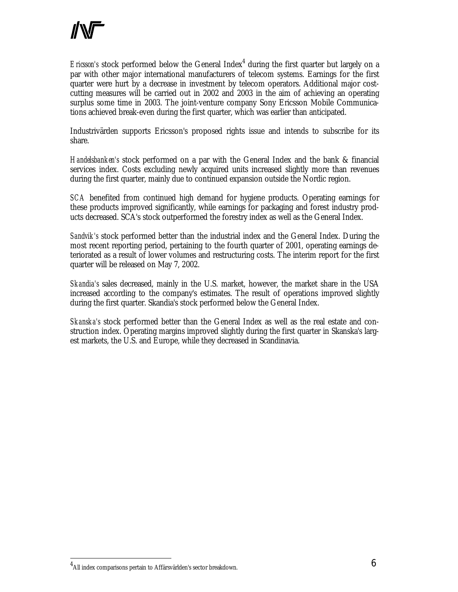Ericsson's stock performed below the General Index<sup>4</sup> during the first quarter but largely on a par with other major international manufacturers of telecom systems. Earnings for the first quarter were hurt by a decrease in investment by telecom operators. Additional major costcutting measures will be carried out in 2002 and 2003 in the aim of achieving an operating surplus some time in 2003. The joint-venture company Sony Ericsson Mobile Communications achieved break-even during the first quarter, which was earlier than anticipated.

Industrivärden supports Ericsson's proposed rights issue and intends to subscribe for its share.

*Handelsbanken's* stock performed on a par with the General Index and the bank & financial services index. Costs excluding newly acquired units increased slightly more than revenues during the first quarter, mainly due to continued expansion outside the Nordic region.

*SCA* benefited from continued high demand for hygiene products. Operating earnings for these products improved significantly, while earnings for packaging and forest industry products decreased. SCA's stock outperformed the forestry index as well as the General Index.

*Sandvik's* stock performed better than the industrial index and the General Index. During the most recent reporting period, pertaining to the fourth quarter of 2001, operating earnings deteriorated as a result of lower volumes and restructuring costs. The interim report for the first quarter will be released on May 7, 2002.

*Skandia's* sales decreased, mainly in the U.S. market, however, the market share in the USA increased according to the company's estimates. The result of operations improved slightly during the first quarter. Skandia's stock performed below the General Index.

*Skanska's* stock performed better than the General Index as well as the real estate and construction index. Operating margins improved slightly during the first quarter in Skanska's largest markets, the U.S. and Europe, while they decreased in Scandinavia.

 $^4$ All index comparisons pertain to Affärsvärlden's sector breakdown.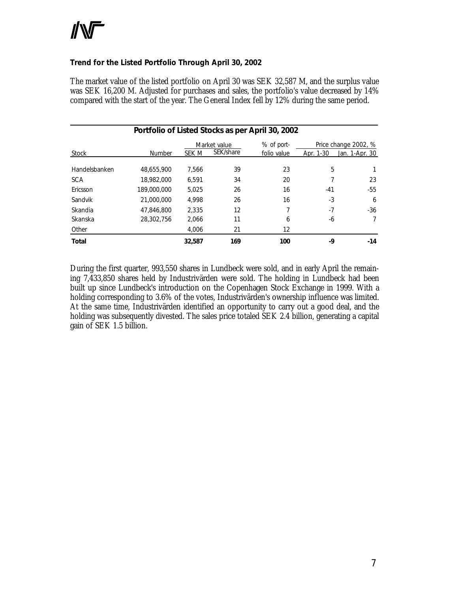#### **Trend for the Listed Portfolio Through April 30, 2002**

The market value of the listed portfolio on April 30 was SEK 32,587 M, and the surplus value was SEK 16,200 M. Adjusted for purchases and sales, the portfolio's value decreased by 14% compared with the start of the year. The General Index fell by 12% during the same period.

| Portfolio of Listed Stocks as per April 30, 2002 |               |        |              |             |           |                      |
|--------------------------------------------------|---------------|--------|--------------|-------------|-----------|----------------------|
|                                                  |               |        | Market value | % of port-  |           | Price change 2002, % |
| Stock                                            | <b>Number</b> | SEK M  | SEK/share    | folio value | Apr. 1-30 | Jan. 1-Apr. 30       |
| Handelsbanken                                    | 48.655.900    | 7.566  | 39           | 23          | 5         |                      |
| <b>SCA</b>                                       | 18,982,000    | 6.591  | 34           | 20          |           | 23                   |
| Ericsson                                         | 189,000,000   | 5.025  | 26           | 16          | $-41$     | $-55$                |
| Sandvik                                          | 21,000,000    | 4.998  | 26           | 16          | -3        | 6                    |
| Skandia                                          | 47.846.800    | 2.335  | 12           | 7           | $-7$      | -36                  |
| Skanska                                          | 28,302,756    | 2.066  | 11           | 6           | -6        | 7                    |
| Other                                            |               | 4,006  | 21           | 12          |           |                      |
| <b>Total</b>                                     |               | 32,587 | 169          | 100         | -9        | -14                  |

During the first quarter, 993,550 shares in Lundbeck were sold, and in early April the remaining 7,433,850 shares held by Industrivärden were sold. The holding in Lundbeck had been built up since Lundbeck's introduction on the Copenhagen Stock Exchange in 1999. With a holding corresponding to 3.6% of the votes, Industrivärden's ownership influence was limited. At the same time, Industrivärden identified an opportunity to carry out a good deal, and the holding was subsequently divested. The sales price totaled SEK 2.4 billion, generating a capital gain of SEK 1.5 billion.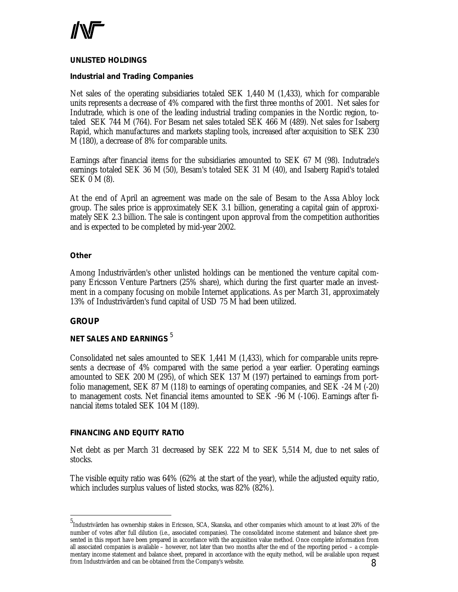

#### *UNLISTED HOLDINGS*

#### **Industrial and Trading Companies**

Net sales of the operating subsidiaries totaled SEK 1,440 M (1,433), which for comparable units represents a decrease of 4% compared with the first three months of 2001. Net sales for Indutrade, which is one of the leading industrial trading companies in the Nordic region, totaled SEK 744 M (764). For Besam net sales totaled SEK 466 M (489). Net sales for Isaberg Rapid, which manufactures and markets stapling tools, increased after acquisition to SEK 230 M (180), a decrease of 8% for comparable units.

Earnings after financial items for the subsidiaries amounted to SEK 67 M (98). Indutrade's earnings totaled SEK 36 M (50), Besam's totaled SEK 31 M (40), and Isaberg Rapid's totaled SEK 0 M (8).

At the end of April an agreement was made on the sale of Besam to the Assa Abloy lock group. The sales price is approximately SEK 3.1 billion, generating a capital gain of approximately SEK 2.3 billion. The sale is contingent upon approval from the competition authorities and is expected to be completed by mid-year 2002.

#### **Other**

Among Industrivärden's other unlisted holdings can be mentioned the venture capital company Ericsson Venture Partners (25% share), which during the first quarter made an investment in a company focusing on mobile Internet applications. As per March 31, approximately 13% of Industrivärden's fund capital of USD 75 M had been utilized.

#### **GROUP**

 $\overline{a}$ 

## *NET SALES AND EARNINGS* <sup>5</sup>

Consolidated net sales amounted to SEK 1,441 M (1,433), which for comparable units represents a decrease of 4% compared with the same period a year earlier. Operating earnings amounted to SEK 200 M (295), of which SEK 137 M (197) pertained to earnings from portfolio management, SEK 87 M (118) to earnings of operating companies, and SEK -24 M (-20) to management costs. Net financial items amounted to SEK -96 M (-106). Earnings after financial items totaled SEK 104 M (189).

#### *FINANCING AND EQUITY RATIO*

Net debt as per March 31 decreased by SEK 222 M to SEK 5,514 M, due to net sales of stocks.

The visible equity ratio was 64% (62% at the start of the year), while the adjusted equity ratio, which includes surplus values of listed stocks, was 82% (82%).

<sup>8</sup> 5 Industrivärden has ownership stakes in Ericsson, SCA, Skanska, and other companies which amount to at least 20% of the number of votes after full dilution (i.e., associated companies). The consolidated income statement and balance sheet presented in this report have been prepared in accordance with the acquisition value method. Once complete information from all associated companies is available – however, not later than two months after the end of the reporting period – a complementary income statement and balance sheet, prepared in accordance with the equity method, will be available upon request from Industrivärden and can be obtained from the Company's website.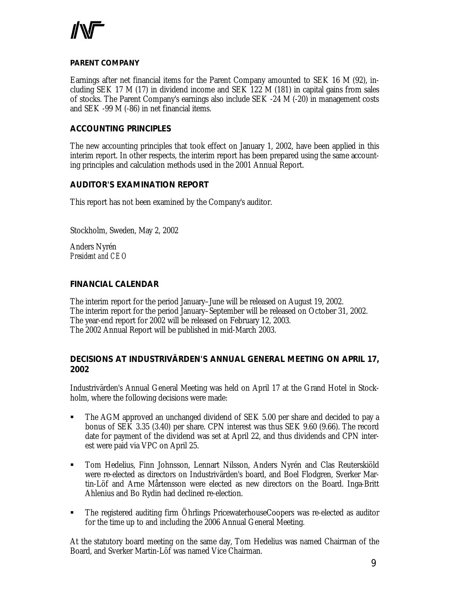

#### **PARENT COMPANY**

Earnings after net financial items for the Parent Company amounted to SEK 16 M (92), including SEK 17 M (17) in dividend income and SEK 122 M (181) in capital gains from sales of stocks. The Parent Company's earnings also include SEK -24 M (-20) in management costs and SEK -99 M (-86) in net financial items.

#### **ACCOUNTING PRINCIPLES**

The new accounting principles that took effect on January 1, 2002, have been applied in this interim report. In other respects, the interim report has been prepared using the same accounting principles and calculation methods used in the 2001 Annual Report.

#### **AUDITOR'S EXAMINATION REPORT**

This report has not been examined by the Company's auditor.

Stockholm, Sweden, May 2, 2002

Anders Nyrén *President and CEO*

#### **FINANCIAL CALENDAR**

The interim report for the period January–June will be released on August 19, 2002. The interim report for the period January–September will be released on October 31, 2002. The year-end report for 2002 will be released on February 12, 2003. The 2002 Annual Report will be published in mid-March 2003.

#### **DECISIONS AT INDUSTRIVÄRDEN'S ANNUAL GENERAL MEETING ON APRIL 17, 2002**

Industrivärden's Annual General Meeting was held on April 17 at the Grand Hotel in Stockholm, where the following decisions were made:

- ß The AGM approved an unchanged dividend of SEK 5.00 per share and decided to pay a bonus of SEK 3.35 (3.40) per share. CPN interest was thus SEK 9.60 (9.66). The record date for payment of the dividend was set at April 22, and thus dividends and CPN interest were paid via VPC on April 25.
- **Tom Hedelius, Finn Johnsson, Lennart Nilsson, Anders Nyrén and Clas Reuterskiöld** were re-elected as directors on Industrivärden's board, and Boel Flodgren, Sverker Martin-Löf and Arne Mårtensson were elected as new directors on the Board. Inga-Britt Ahlenius and Bo Rydin had declined re-election.
- **The registered auditing firm Öhrlings PricewaterhouseCoopers was re-elected as auditor** for the time up to and including the 2006 Annual General Meeting.

At the statutory board meeting on the same day, Tom Hedelius was named Chairman of the Board, and Sverker Martin-Löf was named Vice Chairman.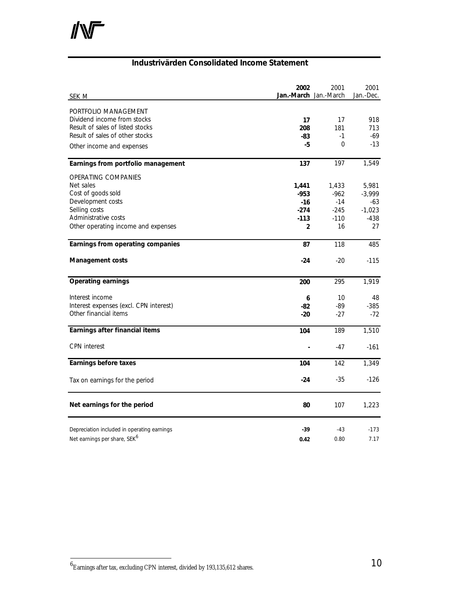$\mathbb{N}$ 

#### **Industrivärden Consolidated Income Statement**

| SEK M                                       | 2002<br>Jan.-March Jan.-March | 2001             | 2001<br>Jan.-Dec. |
|---------------------------------------------|-------------------------------|------------------|-------------------|
|                                             |                               |                  |                   |
| PORTFOLIO MANAGEMENT                        |                               |                  |                   |
| Dividend income from stocks                 | 17                            | 17               | 918               |
| Result of sales of listed stocks            | 208                           | 181              | 713               |
| Result of sales of other stocks             | -83                           | $-1$<br>$\Omega$ | -69               |
| Other income and expenses                   | -5                            |                  | $-13$             |
| Earnings from portfolio management          | 137                           | 197              | 1,549             |
| OPERATING COMPANIES                         |                               |                  |                   |
| Net sales                                   | 1,441                         | 1,433            | 5,981             |
| Cost of goods sold                          | $-953$                        | $-962$           | $-3,999$          |
| Development costs                           | $-16$                         | $-14$            | -63               |
| Selling costs                               | $-274$                        | $-245$           | $-1,023$          |
| Administrative costs                        | $-113$                        | $-110$           | $-438$            |
| Other operating income and expenses         | $\overline{2}$                | 16               | 27                |
| Earnings from operating companies           | 87                            | 118              | 485               |
| Management costs                            | -24                           | $-20$            | $-115$            |
| <b>Operating earnings</b>                   | 200                           | 295              | 1,919             |
| Interest income                             | 6                             | 10               | 48                |
| Interest expenses (excl. CPN interest)      | -82                           | -89              | $-385$            |
| Other financial items                       | $-20$                         | $-27$            | $-72$             |
| Earnings after financial items              | 104                           | 189              | 1,510             |
| <b>CPN</b> interest                         |                               | $-47$            | $-161$            |
| <b>Earnings before taxes</b>                | 104                           | 142              | 1,349             |
| Tax on earnings for the period              | $-24$                         | $-35$            | $-126$            |
| Net earnings for the period                 | 80                            | 107              | 1,223             |
| Depreciation included in operating earnings | $-39$                         | $-43$            | $-173$            |
| Net earnings per share, SEK <sup>6</sup>    | 0.42                          | 0.80             | 7.17              |

 $^6$ Earnings after tax, excluding CPN interest, divided by 193,135,612 shares.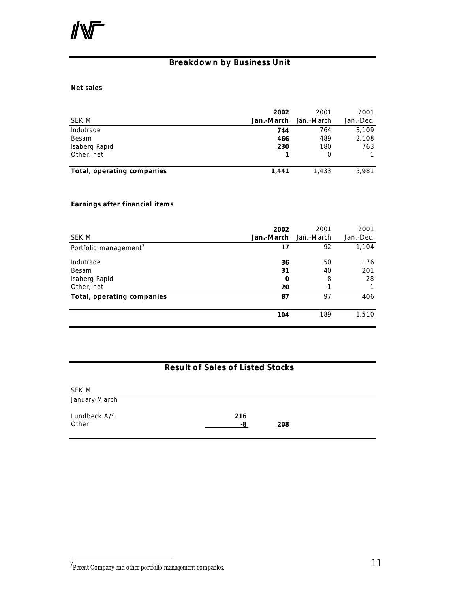## **Breakdown by Business Unit**

#### **Net sales**

| SEK M                      | 2002<br>Jan.-March | 2001<br>Jan.-March | 2001<br>Jan.-Dec. |
|----------------------------|--------------------|--------------------|-------------------|
| Indutrade                  | 744                | 764                | 3,109             |
| Besam                      | 466                | 489                | 2,108             |
| Isaberg Rapid              | 230                | 180                | 763               |
| Other, net                 |                    | Ο                  |                   |
| Total, operating companies | 1,441              | 1.433              | 5,981             |

#### **Earnings after financial items**

| SEK M                                             | 2002<br>Jan.-March         | 2001<br>Jan.-March    | 2001<br>Jan.-Dec. |
|---------------------------------------------------|----------------------------|-----------------------|-------------------|
| Portfolio management <sup>7</sup>                 | 17                         | 92                    | 1,104             |
| Indutrade<br>Besam<br>Isaberg Rapid<br>Other, net | 36<br>31<br>$\bf{0}$<br>20 | 50<br>40<br>8<br>$-1$ | 176<br>201<br>28  |
| Total, operating companies                        | 87                         | 97                    | 406               |
|                                                   | 104                        | 189                   | 1,510             |

## **Result of Sales of Listed Stocks**

| SEK M                 |           |     |
|-----------------------|-----------|-----|
| January-March         |           |     |
| Lundbeck A/S<br>Other | 216<br>-8 | 208 |

 $7$ Parent Company and other portfolio management companies.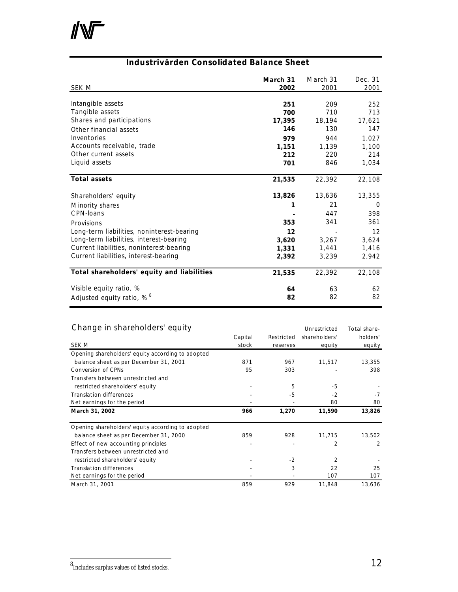

#### **Industrivärden Consolidated Balance Sheet**

| SEK M                                      | March 31<br>2002 | March 31<br>2001 | Dec. 31<br>2001 |
|--------------------------------------------|------------------|------------------|-----------------|
| Intangible assets                          | 251              | 209              | 252             |
| Tangible assets                            | 700              | 710              | 713             |
| Shares and participations                  | 17,395           | 18,194           | 17,621          |
| Other financial assets                     | 146              | 130              | 147             |
| Inventories                                | 979              | 944              | 1,027           |
| Accounts receivable, trade                 | 1,151            | 1,139            | 1,100           |
| Other current assets                       | 212              | 220              | 214             |
| Liquid assets                              | 701              | 846              | 1,034           |
| <b>Total assets</b>                        | 21,535           | 22,392           | 22,108          |
| Shareholders' equity                       | 13,826           | 13,636           | 13,355          |
| Minority shares                            | 1                | 21               | 0               |
| CPN-loans                                  |                  | 447              | 398             |
| Provisions                                 | 353              | 341              | 361             |
| Long-term liabilities, noninterest-bearing | 12               |                  | 12              |
| Long-term liabilities, interest-bearing    | 3,620            | 3,267            | 3,624           |
| Current liabilities, noninterest-bearing   | 1,331            | 1,441            | 1,416           |
| Current liabilities, interest-bearing      | 2,392            | 3,239            | 2,942           |
| Total shareholders' equity and liabilities | 21,535           | 22,392           | 22,108          |
| Visible equity ratio, %                    | 64               | 63               | 62              |
| Adjusted equity ratio, % <sup>8</sup>      | 82               | 82               | 82              |

#### Change in shareholders' equity and the Change in share-

| SEK M                                             | Capital<br>stock | Restricted<br>reserves | shareholders'<br>equity | holders'<br>equity |
|---------------------------------------------------|------------------|------------------------|-------------------------|--------------------|
| Opening shareholders' equity according to adopted |                  |                        |                         |                    |
| balance sheet as per December 31, 2001            | 871              | 967                    | 11,517                  | 13,355             |
| <b>Conversion of CPNs</b>                         | 95               | 303                    |                         | 398                |
| Transfers between unrestricted and                |                  |                        |                         |                    |
| restricted shareholders' equity                   |                  | 5                      | -5                      |                    |
| <b>Translation differences</b>                    |                  | -5                     | $-2$                    | $-7$               |
| Net earnings for the period                       |                  |                        | 80                      | 80                 |
| March 31, 2002                                    | 966              | 1,270                  | 11,590                  | 13,826             |
| Opening shareholders' equity according to adopted |                  |                        |                         |                    |
| balance sheet as per December 31, 2000            | 859              | 928                    | 11,715                  | 13,502             |
| Effect of new accounting principles               |                  |                        | $\overline{2}$          | 2                  |
| Transfers between unrestricted and                |                  |                        |                         |                    |
| restricted shareholders' equity                   |                  | $-2$                   | $\overline{2}$          |                    |
| <b>Translation differences</b>                    |                  | 3                      | 22                      | 25                 |
| Net earnings for the period                       |                  |                        | 107                     | 107                |
| March 31, 2001                                    | 859              | 929                    | 11,848                  | 13,636             |